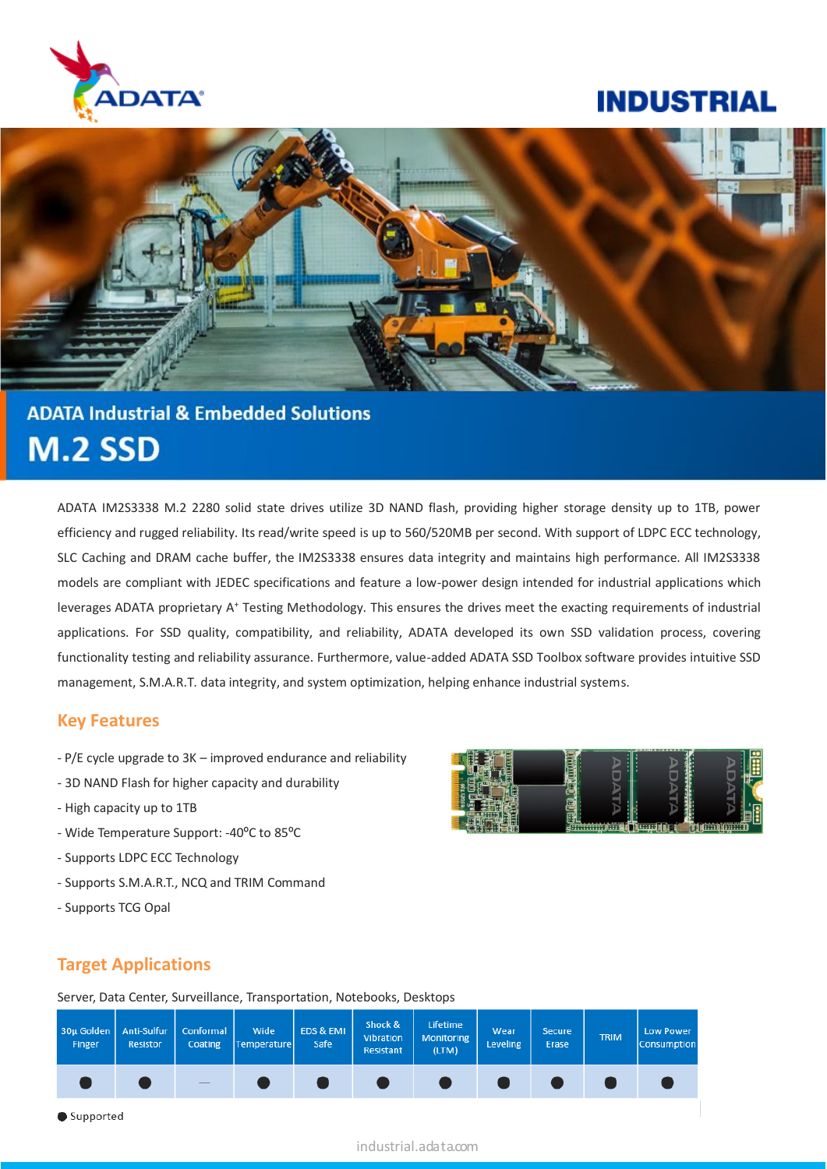

# **INDUSTRIAL**



# **ADATA Industrial & Embedded Solutions M.2 SSD**

ADATA IM2S3338 M.2 2280 solid state drives utilize 3D NAND flash, providing higher storage density up to 1TB, power efficiency and rugged reliability. Its read/write speed is up to 560/520MB per second. With support of LDPC ECC technology, SLC Caching and DRAM cache buffer, the IM2S3338 ensures data integrity and maintains high performance. All IM2S3338 models are compliant with JEDEC specifications and feature a low-power design intended for industrial applications which leverages ADATA proprietary A<sup>+</sup> Testing Methodology. This ensures the drives meet the exacting requirements of industrial applications. For SSD quality, compatibility, and reliability, ADATA developed its own SSD validation process, covering functionality testing and reliability assurance. Furthermore, value-added ADATA SSD Toolbox software provides intuitive SSD management, S.M.A.R.T. data integrity, and system optimization, helping enhance industrial systems.

### **Key Features**

- P/E cycle upgrade to 3K improved endurance and reliability
- 3D NAND Flash for higher capacity and durability
- High capacity up to 1TB
- Wide Temperature Support: -40ºC to 85ºC
- Supports LDPC ECC Technology
- Supports S.M.A.R.T., NCQ and TRIM Command
- Supports TCG Opal



## **Target Applications**

Server, Data Center, Surveillance, Transportation, Notebooks, Desktops



### industrial.adata.com